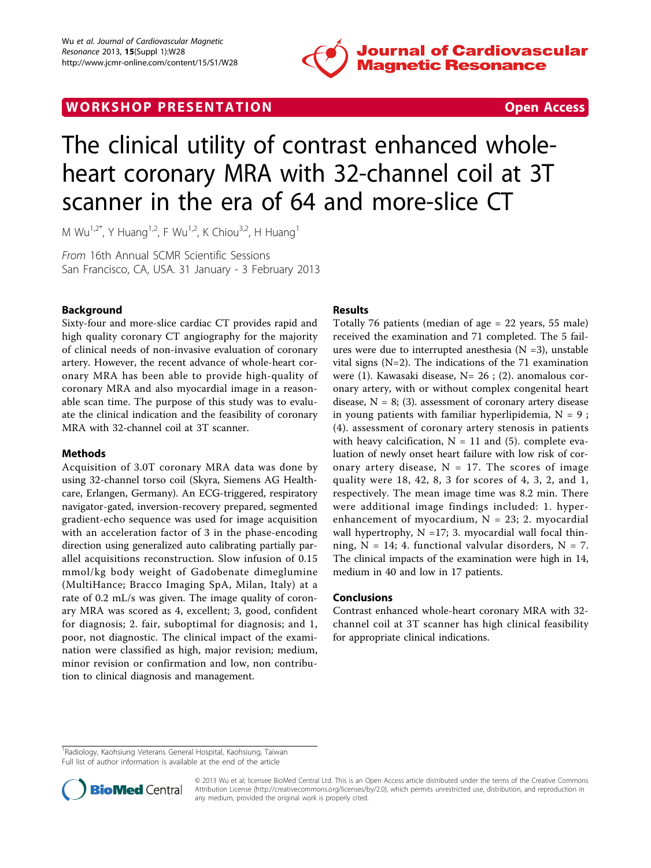



# The clinical utility of contrast enhanced wholeheart coronary MRA with 32-channel coil at 3T scanner in the era of 64 and more-slice CT

M Wu<sup>1,2\*</sup>, Y Huang<sup>1,2</sup>, F Wu<sup>1,2</sup>, K Chiou<sup>3,2</sup>, H Huang<sup>1</sup>

From 16th Annual SCMR Scientific Sessions San Francisco, CA, USA. 31 January - 3 February 2013

## Background

Sixty-four and more-slice cardiac CT provides rapid and high quality coronary CT angiography for the majority of clinical needs of non-invasive evaluation of coronary artery. However, the recent advance of whole-heart coronary MRA has been able to provide high-quality of coronary MRA and also myocardial image in a reasonable scan time. The purpose of this study was to evaluate the clinical indication and the feasibility of coronary MRA with 32-channel coil at 3T scanner.

## Methods

Acquisition of 3.0T coronary MRA data was done by using 32-channel torso coil (Skyra, Siemens AG Healthcare, Erlangen, Germany). An ECG-triggered, respiratory navigator-gated, inversion-recovery prepared, segmented gradient-echo sequence was used for image acquisition with an acceleration factor of 3 in the phase-encoding direction using generalized auto calibrating partially parallel acquisitions reconstruction. Slow infusion of 0.15 mmol/kg body weight of Gadobenate dimeglumine (MultiHance; Bracco Imaging SpA, Milan, Italy) at a rate of 0.2 mL/s was given. The image quality of coronary MRA was scored as 4, excellent; 3, good, confident for diagnosis; 2. fair, suboptimal for diagnosis; and 1, poor, not diagnostic. The clinical impact of the examination were classified as high, major revision; medium, minor revision or confirmation and low, non contribution to clinical diagnosis and management.

## Results

Totally 76 patients (median of age = 22 years, 55 male) received the examination and 71 completed. The 5 failures were due to interrupted anesthesia  $(N = 3)$ , unstable vital signs (N=2). The indications of the 71 examination were (1). Kawasaki disease, N= 26 ; (2). anomalous coronary artery, with or without complex congenital heart disease,  $N = 8$ ; (3). assessment of coronary artery disease in young patients with familiar hyperlipidemia,  $N = 9$ ; (4). assessment of coronary artery stenosis in patients with heavy calcification,  $N = 11$  and (5). complete evaluation of newly onset heart failure with low risk of coronary artery disease,  $N = 17$ . The scores of image quality were 18, 42, 8, 3 for scores of 4, 3, 2, and 1, respectively. The mean image time was 8.2 min. There were additional image findings included: 1. hyperenhancement of myocardium,  $N = 23$ ; 2. myocardial wall hypertrophy,  $N = 17$ ; 3. myocardial wall focal thinning,  $N = 14$ ; 4. functional valvular disorders,  $N = 7$ . The clinical impacts of the examination were high in 14, medium in 40 and low in 17 patients.

## Conclusions

Contrast enhanced whole-heart coronary MRA with 32 channel coil at 3T scanner has high clinical feasibility for appropriate clinical indications.

<sup>&</sup>lt;sup>1</sup> Radiology, Kaohsiung Veterans General Hospital, Kaohsiung, Taiwan Full list of author information is available at the end of the article



© 2013 Wu et al; licensee BioMed Central Ltd. This is an Open Access article distributed under the terms of the Creative Commons Attribution License [\(http://creativecommons.org/licenses/by/2.0](http://creativecommons.org/licenses/by/2.0)), which permits unrestricted use, distribution, and reproduction in any medium, provided the original work is properly cited.